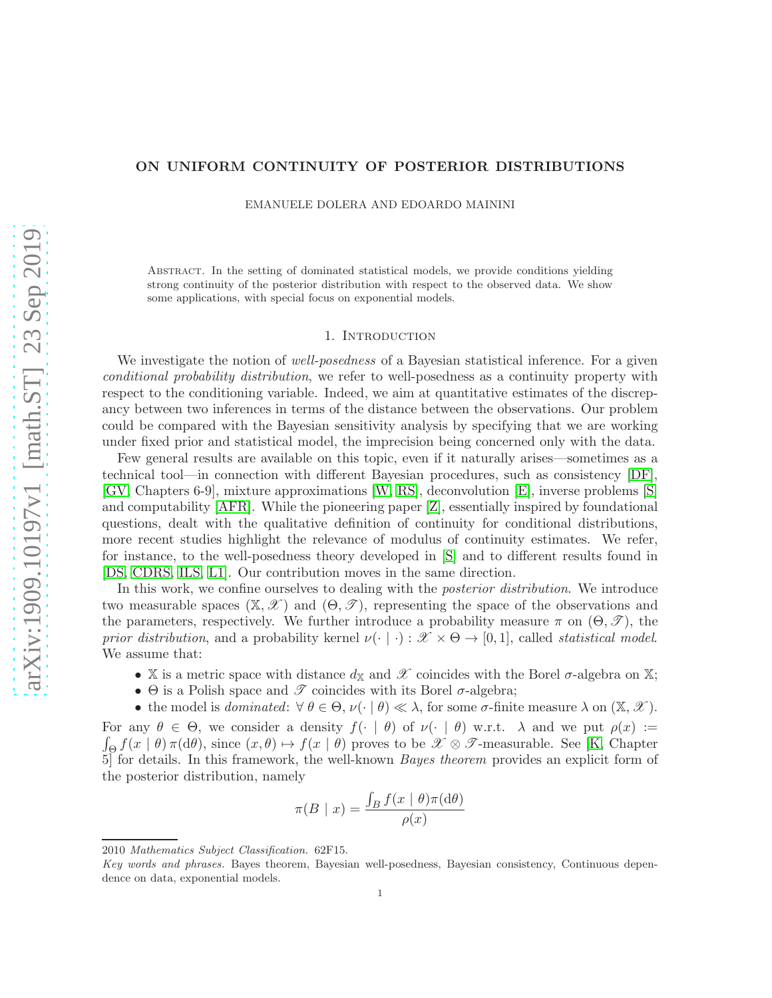# ON UNIFORM CONTINUITY OF POSTERIOR DISTRIBUTIONS

EMANUELE DOLERA AND EDOARDO MAININI

Abstract. In the setting of dominated statistical models, we provide conditions yielding strong continuity of the posterior distribution with respect to the observed data. We show some applications, with special focus on exponential models.

## 1. Introduction

<span id="page-0-0"></span>We investigate the notion of *well-posedness* of a Bayesian statistical inference. For a given conditional probability distribution, we refer to well-posedness as a continuity property with respect to the conditioning variable. Indeed, we aim at quantitative estimates of the discrepancy between two inferences in terms of the distance between the observations. Our problem could be compared with the Bayesian sensitivity analysis by specifying that we are working under fixed prior and statistical model, the imprecision being concerned only with the data.

Few general results are available on this topic, even if it naturally arises—sometimes as a technical tool—in connection with different Bayesian procedures, such as consistency [\[DF\]](#page-7-0), [\[GV,](#page-7-1) Chapters 6-9], mixture approximations [\[W,](#page-8-0) [RS\]](#page-8-1), deconvolution [\[E\]](#page-7-2), inverse problems [\[S\]](#page-8-2) and computability [\[AFR\]](#page-7-3). While the pioneering paper [\[Z\]](#page-8-3), essentially inspired by foundational questions, dealt with the qualitative definition of continuity for conditional distributions, more recent studies highlight the relevance of modulus of continuity estimates. We refer, for instance, to the well-posedness theory developed in [\[S\]](#page-8-2) and to different results found in [\[DS,](#page-7-4) [CDRS,](#page-7-5) [ILS,](#page-7-6) [L1\]](#page-7-7). Our contribution moves in the same direction.

In this work, we confine ourselves to dealing with the posterior distribution. We introduce two measurable spaces  $(\mathbb{X}, \mathcal{X})$  and  $(\Theta, \mathcal{I})$ , representing the space of the observations and the parameters, respectively. We further introduce a probability measure  $\pi$  on  $(\Theta, \mathscr{T})$ , the prior distribution, and a probability kernel  $\nu(\cdot \mid \cdot): \mathcal{X} \times \Theta \rightarrow [0, 1]$ , called statistical model. We assume that:

- X is a metric space with distance  $d_X$  and X coincides with the Borel  $\sigma$ -algebra on X;
- $\Theta$  is a Polish space and  $\mathscr T$  coincides with its Borel  $\sigma$ -algebra;
- the model is *dominated*:  $\forall \theta \in \Theta$ ,  $\nu(\cdot | \theta) \ll \lambda$ , for some  $\sigma$ -finite measure  $\lambda$  on  $(\mathbb{X}, \mathcal{X})$ .

 $\int_{\Theta} f(x \mid \theta) \pi(\mathrm{d}\theta)$ , since  $(x, \theta) \mapsto f(x \mid \theta)$  proves to be  $\mathscr{X} \otimes \mathscr{T}$ -measurable. See [\[K,](#page-7-8) Chapter For any  $\theta \in \Theta$ , we consider a density  $f(\cdot | \theta)$  of  $\nu(\cdot | \theta)$  w.r.t.  $\lambda$  and we put  $\rho(x) :=$ 5] for details. In this framework, the well-known Bayes theorem provides an explicit form of the posterior distribution, namely

$$
\pi(B \mid x) = \frac{\int_B f(x \mid \theta) \pi(\mathrm{d}\theta)}{\rho(x)}
$$

<sup>2010</sup> Mathematics Subject Classification. 62F15.

Key words and phrases. Bayes theorem, Bayesian well-posedness, Bayesian consistency, Continuous dependence on data, exponential models.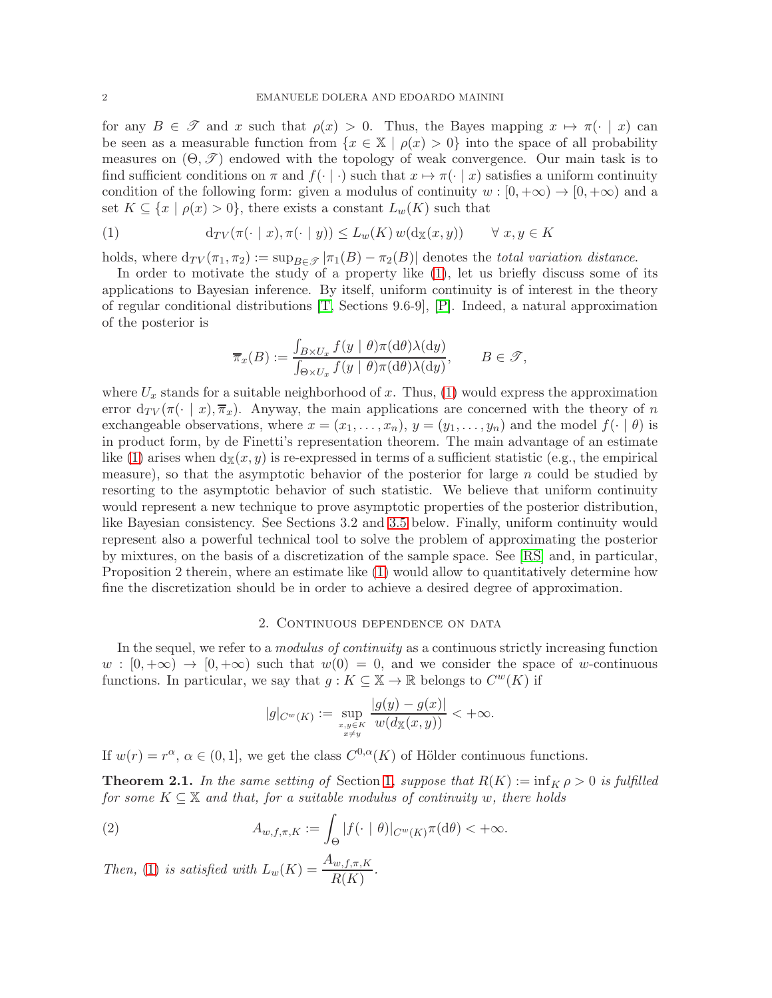for any  $B \in \mathscr{T}$  and x such that  $\rho(x) > 0$ . Thus, the Bayes mapping  $x \mapsto \pi(\cdot | x)$  can be seen as a measurable function from  $\{x \in \mathbb{X} \mid \rho(x) > 0\}$  into the space of all probability measures on  $(\Theta, \mathcal{T})$  endowed with the topology of weak convergence. Our main task is to find sufficient conditions on  $\pi$  and  $f(\cdot \mid \cdot)$  such that  $x \mapsto \pi(\cdot \mid x)$  satisfies a uniform continuity condition of the following form: given a modulus of continuity  $w : [0, +\infty) \to [0, +\infty)$  and a set  $K \subseteq \{x \mid \rho(x) > 0\}$ , there exists a constant  $L_w(K)$  such that

<span id="page-1-0"></span>(1) 
$$
\mathrm{d}_{TV}(\pi(\cdot \mid x), \pi(\cdot \mid y)) \le L_w(K) w(\mathrm{d}_{\mathbb{X}}(x, y)) \qquad \forall \ x, y \in K
$$

holds, where  $d_{TV}(\pi_1, \pi_2) := \sup_{B \in \mathcal{F}} |\pi_1(B) - \pi_2(B)|$  denotes the *total variation distance*.

In order to motivate the study of a property like [\(1\)](#page-1-0), let us briefly discuss some of its applications to Bayesian inference. By itself, uniform continuity is of interest in the theory of regular conditional distributions [\[T,](#page-8-4) Sections 9.6-9], [\[P\]](#page-7-9). Indeed, a natural approximation of the posterior is

$$
\overline{\pi}_x(B) := \frac{\int_{B \times U_x} f(y \mid \theta) \pi(\mathrm{d}\theta) \lambda(\mathrm{d}y)}{\int_{\Theta \times U_x} f(y \mid \theta) \pi(\mathrm{d}\theta) \lambda(\mathrm{d}y)}, \qquad B \in \mathcal{F},
$$

where  $U_x$  stands for a suitable neighborhood of x. Thus, [\(1\)](#page-1-0) would express the approximation error  $d_{TV}(\pi(\cdot \mid x), \overline{\pi}_x)$ . Anyway, the main applications are concerned with the theory of n exchangeable observations, where  $x = (x_1, \ldots, x_n)$ ,  $y = (y_1, \ldots, y_n)$  and the model  $f(\cdot | \theta)$  is in product form, by de Finetti's representation theorem. The main advantage of an estimate like [\(1\)](#page-1-0) arises when  $d_{\mathbb{X}}(x, y)$  is re-expressed in terms of a sufficient statistic (e.g., the empirical measure), so that the asymptotic behavior of the posterior for large  $n$  could be studied by resorting to the asymptotic behavior of such statistic. We believe that uniform continuity would represent a new technique to prove asymptotic properties of the posterior distribution, like Bayesian consistency. See Sections 3.2 and [3.5](#page-6-0) below. Finally, uniform continuity would represent also a powerful technical tool to solve the problem of approximating the posterior by mixtures, on the basis of a discretization of the sample space. See [\[RS\]](#page-8-1) and, in particular, Proposition 2 therein, where an estimate like [\(1\)](#page-1-0) would allow to quantitatively determine how fine the discretization should be in order to achieve a desired degree of approximation.

# 2. Continuous dependence on data

In the sequel, we refer to a *modulus of continuity* as a continuous strictly increasing function  $w : [0, +\infty) \to [0, +\infty)$  such that  $w(0) = 0$ , and we consider the space of w-continuous functions. In particular, we say that  $g: K \subseteq \mathbb{X} \to \mathbb{R}$  belongs to  $C^w(K)$  if

<span id="page-1-1"></span>
$$
|g|_{C^w(K)} := \sup_{\substack{x,y \in K \\ x \neq y}} \frac{|g(y) - g(x)|}{w(d_{\mathbb{X}}(x, y))} < +\infty.
$$

If  $w(r) = r^{\alpha}$ ,  $\alpha \in (0, 1]$ , we get the class  $C^{0,\alpha}(K)$  of Hölder continuous functions.

<span id="page-1-2"></span>**Theorem 2.1.** In the same setting of Section [1](#page-0-0), suppose that  $R(K) := \inf_{K} \rho > 0$  is fulfilled for some  $K \subseteq \mathbb{X}$  and that, for a suitable modulus of continuity w, there holds

(2) 
$$
A_{w,f,\pi,K} := \int_{\Theta} |f(\cdot \mid \theta)|_{C^w(K)} \pi(\mathrm{d}\theta) < +\infty.
$$

Then, [\(1\)](#page-1-0) is satisfied with  $L_w(K) = \frac{A_{w,f,\pi,K}}{R(K)}$ .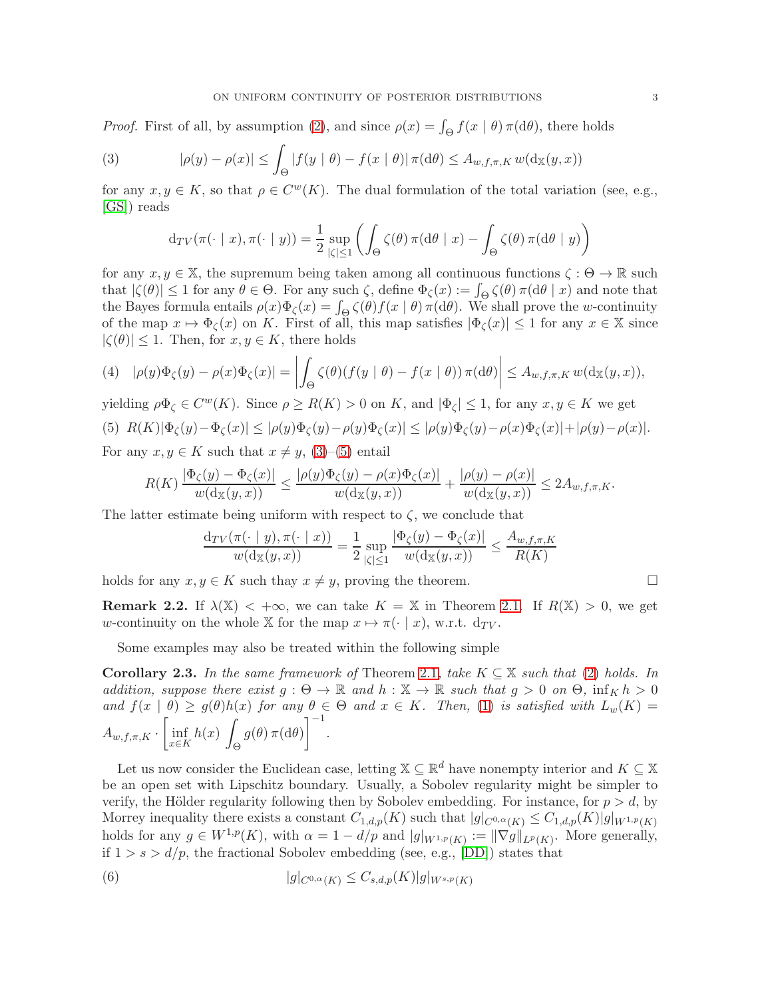*Proof.* First of all, by assumption [\(2\)](#page-1-1), and since  $\rho(x) = \int_{\Theta} f(x | \theta) \pi(d\theta)$ , there holds

(3) 
$$
|\rho(y) - \rho(x)| \le \int_{\Theta} |f(y | \theta) - f(x | \theta)| \pi(d\theta) \le A_{w,f,\pi,K} w(d_{\mathbb{X}}(y,x))
$$

for any  $x, y \in K$ , so that  $\rho \in C^{w}(K)$ . The dual formulation of the total variation (see, e.g., [\[GS\]](#page-7-10)) reads

<span id="page-2-0"></span>
$$
d_{TV}(\pi(\cdot \mid x), \pi(\cdot \mid y)) = \frac{1}{2} \sup_{|\zeta| \le 1} \left( \int_{\Theta} \zeta(\theta) \pi(d\theta \mid x) - \int_{\Theta} \zeta(\theta) \pi(d\theta \mid y) \right)
$$

for any  $x, y \in \mathbb{X}$ , the supremum being taken among all continuous functions  $\zeta : \Theta \to \mathbb{R}$  such that  $|\zeta(\theta)| \le 1$  for any  $\theta \in \Theta$ . For any such  $\zeta$ , define  $\Phi_{\zeta}(x) := \int_{\Theta} \zeta(\theta) \pi(d\theta | x)$  and note that the Bayes formula entails  $\rho(x)\Phi_{\zeta}(x) = \int_{\Theta} \zeta(\theta) f(x \mid \theta) \pi(\mathrm{d}\theta)$ . We shall prove the w-continuity of the map  $x \mapsto \Phi_{\zeta}(x)$  on K. First of all, this map satisfies  $|\Phi_{\zeta}(x)| \leq 1$  for any  $x \in \mathbb{X}$  since  $|\zeta(\theta)| \leq 1$ . Then, for  $x, y \in K$ , there holds

$$
(4) \quad |\rho(y)\Phi_{\zeta}(y) - \rho(x)\Phi_{\zeta}(x)| = \left| \int_{\Theta} \zeta(\theta)(f(y \mid \theta) - f(x \mid \theta))\,\pi(\mathrm{d}\theta) \right| \leq A_{w,f,\pi,K} \, w(\mathrm{d}_{\mathbb{X}}(y,x)),
$$

<span id="page-2-1"></span>yielding  $\rho \Phi_{\zeta} \in C^{w}(K)$ . Since  $\rho \ge R(K) > 0$  on K, and  $|\Phi_{\zeta}| \le 1$ , for any  $x, y \in K$  we get (5)  $R(K)|\Phi_{\zeta}(y)-\Phi_{\zeta}(x)| \leq |\rho(y)\Phi_{\zeta}(y)-\rho(y)\Phi_{\zeta}(x)| \leq |\rho(y)\Phi_{\zeta}(y)-\rho(x)\Phi_{\zeta}(x)|+|\rho(y)-\rho(x)|.$ 

For any  $x, y \in K$  such that  $x \neq y$ , [\(3\)](#page-2-0)–[\(5\)](#page-2-1) entail

$$
R(K) \frac{|\Phi_{\zeta}(y) - \Phi_{\zeta}(x)|}{w(\mathrm{d}_{\mathbb{X}}(y,x))} \le \frac{|\rho(y)\Phi_{\zeta}(y) - \rho(x)\Phi_{\zeta}(x)|}{w(\mathrm{d}_{\mathbb{X}}(y,x))} + \frac{|\rho(y) - \rho(x)|}{w(\mathrm{d}_{\mathbb{X}}(y,x))} \le 2A_{w,f,\pi,K}.
$$

The latter estimate being uniform with respect to  $\zeta$ , we conclude that

$$
\frac{d_{TV}(\pi(\cdot \mid y), \pi(\cdot \mid x))}{w(d_{\mathbb{X}}(y, x))} = \frac{1}{2} \sup_{|\zeta| \le 1} \frac{|\Phi_{\zeta}(y) - \Phi_{\zeta}(x)|}{w(d_{\mathbb{X}}(y, x))} \le \frac{A_{w, f, \pi, K}}{R(K)}
$$

holds for any  $x, y \in K$  such thay  $x \neq y$ , proving the theorem.

**Remark 2.2.** If  $\lambda(\mathbb{X}) < +\infty$ , we can take  $K = \mathbb{X}$  in Theorem [2.1.](#page-1-2) If  $R(\mathbb{X}) > 0$ , we get w-continuity on the whole X for the map  $x \mapsto \pi(\cdot \mid x)$ , w.r.t.  $d_{TV}$ .

Some examples may also be treated within the following simple

<span id="page-2-2"></span>**Corollary 2.3.** In the same framework of Theorem [2.1](#page-1-2), take  $K \subseteq \mathbb{X}$  such that [\(2\)](#page-1-1) holds. In addition, suppose there exist  $g : \Theta \to \mathbb{R}$  and  $h : \mathbb{X} \to \mathbb{R}$  such that  $g > 0$  on  $\Theta$ ,  $\inf_K h > 0$ and  $f(x | \theta) \ge g(\theta)h(x)$  for any  $\theta \in \Theta$  and  $x \in K$ . Then, [\(1\)](#page-1-0) is satisfied with  $L_w(K) =$  $A_{w,f,\pi,K} \cdot \left[ \inf_{x \in K} \right]$ x∈K  $h(x)$ Θ  $g(\theta) \pi(\mathrm{d}\theta)\Big]^{-1}.$ 

Let us now consider the Euclidean case, letting  $\mathbb{X} \subseteq \mathbb{R}^d$  have nonempty interior and  $K \subseteq \mathbb{X}$ be an open set with Lipschitz boundary. Usually, a Sobolev regularity might be simpler to verify, the Hölder regularity following then by Sobolev embedding. For instance, for  $p > d$ , by Morrey inequality there exists a constant  $C_{1,d,p}(K)$  such that  $|g|_{C^{0,\alpha}(K)} \leq C_{1,d,p}(K)|g|_{W^{1,p}(K)}$ holds for any  $g \in W^{1,p}(K)$ , with  $\alpha = 1 - d/p$  and  $|g|_{W^{1,p}(K)} := ||\nabla g||_{L^p(K)}$ . More generally, if  $1 > s > d/p$ , the fractional Sobolev embedding (see, e.g., [\[DD\]](#page-7-11)) states that

<span id="page-2-3"></span>(6) 
$$
|g|_{C^{0,\alpha}(K)} \leq C_{s,d,p}(K)|g|_{W^{s,p}(K)}
$$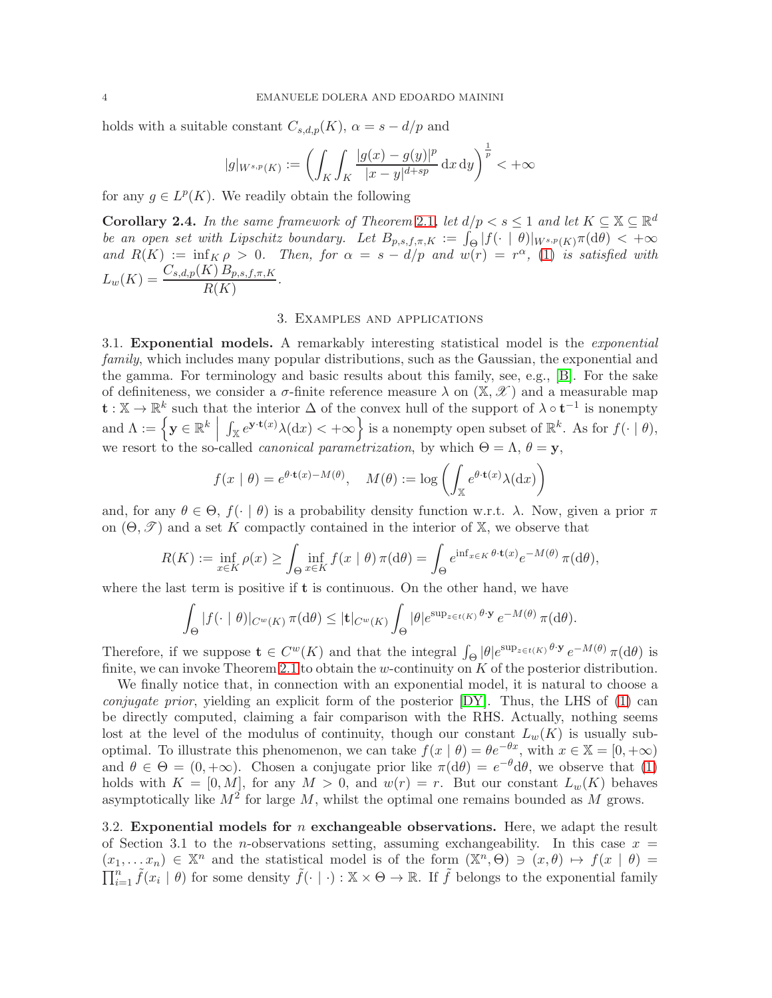holds with a suitable constant  $C_{s,d,p}(K)$ ,  $\alpha = s - d/p$  and

$$
|g|_{W^{s,p}(K)} := \left(\int_K \int_K \frac{|g(x) - g(y)|^p}{|x - y|^{d + sp}} \,dx \,dy\right)^{\frac{1}{p}} < +\infty
$$

for any  $g \in L^p(K)$ . We readily obtain the following

**Corollary 2.4.** In the same framework of Theorem [2.1](#page-1-2), let  $d/p < s \leq 1$  and let  $K \subseteq \mathbb{X} \subseteq \mathbb{R}^d$ be an open set with Lipschitz boundary. Let  $B_{p,s,f,\pi,K} := \int_{\Theta} |f(\cdot | \theta)|_{W^{s,p}(K)} \pi(\mathrm{d}\theta) < +\infty$ and  $R(K) := \inf_{K \in \mathcal{F}} R(\rho) > 0$ . Then, for  $\alpha = s - d/p$  and  $w(r) = r^{\alpha}$ , [\(1\)](#page-1-0) is satisfied with  $L_w(K) = \frac{C_{s,d,p}(K) B_{p,s,f,\pi,K}}{R(K)}.$ 

### 3. Examples and applications

3.1. Exponential models. A remarkably interesting statistical model is the exponential family, which includes many popular distributions, such as the Gaussian, the exponential and the gamma. For terminology and basic results about this family, see, e.g., [\[B\]](#page-7-12). For the sake of definiteness, we consider a  $\sigma$ -finite reference measure  $\lambda$  on  $(\mathbb{X}, \mathscr{X})$  and a measurable map  $\mathbf{t} : \mathbb{X} \to \mathbb{R}^k$  such that the interior  $\Delta$  of the convex hull of the support of  $\lambda \circ \mathbf{t}^{-1}$  is nonempty and  $\Lambda := \left\{ \mathbf{y} \in \mathbb{R}^k \mid \mathbf{y} \in \mathbb{R}^k \mid \mathbf{y} \in \mathbb{R}^k \mid \mathbf{y} \in \mathbb{R}^k \mid \mathbf{y} \in \mathbb{R}^k \mid \mathbf{y} \in \mathbb{R}^k \mid \mathbf{y} \in \mathbb{R}^k \right\}$  $\int_{\mathbb{X}} e^{\mathbf{y} \cdot \mathbf{t}(x)} \lambda(\mathrm{d}x) < +\infty$  is a nonempty open subset of  $\mathbb{R}^k$ . As for  $f(\cdot | \theta)$ , we resort to the so-called *canonical parametrization*, by which  $\Theta = \Lambda$ ,  $\theta = y$ ,

$$
f(x | \theta) = e^{\theta \cdot \mathbf{t}(x) - M(\theta)}, \quad M(\theta) := \log \left( \int_{\mathbb{X}} e^{\theta \cdot \mathbf{t}(x)} \lambda(\mathrm{d}x) \right)
$$

and, for any  $\theta \in \Theta$ ,  $f(\cdot | \theta)$  is a probability density function w.r.t.  $\lambda$ . Now, given a prior  $\pi$ on  $(\Theta, \mathscr{T})$  and a set K compactly contained in the interior of X, we observe that

$$
R(K) := \inf_{x \in K} \rho(x) \ge \int_{\Theta} \inf_{x \in K} f(x \mid \theta) \, \pi(\mathrm{d}\theta) = \int_{\Theta} e^{\inf_{x \in K} \theta \cdot \mathbf{t}(x)} e^{-M(\theta)} \, \pi(\mathrm{d}\theta),
$$

where the last term is positive if  $t$  is continuous. On the other hand, we have

$$
\int_{\Theta} |f(\cdot \mid \theta)|_{C^w(K)} \pi(\mathrm{d}\theta) \leq |\mathbf{t}|_{C^w(K)} \int_{\Theta} |\theta| e^{\sup_{z \in t(K)} \theta \cdot \mathbf{y}} e^{-M(\theta)} \pi(\mathrm{d}\theta).
$$

Therefore, if we suppose  $\mathbf{t} \in C^{w}(K)$  and that the integral  $\int_{\Theta} |\theta| e^{\sup_{z \in t(K)} \theta \cdot \mathbf{y}} e^{-M(\theta)} \pi(d\theta)$  is finite, we can invoke Theorem [2.1](#page-1-2) to obtain the w-continuity on  $K$  of the posterior distribution.

We finally notice that, in connection with an exponential model, it is natural to choose a *conjugate prior*, yielding an explicit form of the posterior  $[DY]$ . Thus, the LHS of  $(1)$  can be directly computed, claiming a fair comparison with the RHS. Actually, nothing seems lost at the level of the modulus of continuity, though our constant  $L_w(K)$  is usually suboptimal. To illustrate this phenomenon, we can take  $f(x | \theta) = \theta e^{-\theta x}$ , with  $x \in \mathbb{X} = [0, +\infty)$ and  $\theta \in \Theta = (0, +\infty)$ . Chosen a conjugate prior like  $\pi(d\theta) = e^{-\theta} d\theta$ , we observe that [\(1\)](#page-1-0) holds with  $K = [0, M]$ , for any  $M > 0$ , and  $w(r) = r$ . But our constant  $L_w(K)$  behaves asymptotically like  $M^2$  for large M, whilst the optimal one remains bounded as M grows.

<span id="page-3-0"></span>3.2. Exponential models for n exchangeable observations. Here, we adapt the result of Section 3.1 to the *n*-observations setting, assuming exchangeability. In this case  $x =$  $(x_1, \ldots, x_n) \in \mathbb{X}^n$  and the statistical model is of the form  $(\mathbb{X}^n, \Theta) \ni (x, \theta) \mapsto f(x \mid \theta) =$  $\prod_{i=1}^n \tilde{f}(x_i \mid \theta)$  for some density  $\tilde{f}(\cdot \mid \cdot) : \mathbb{X} \times \Theta \to \mathbb{R}$ . If  $\tilde{f}$  belongs to the exponential family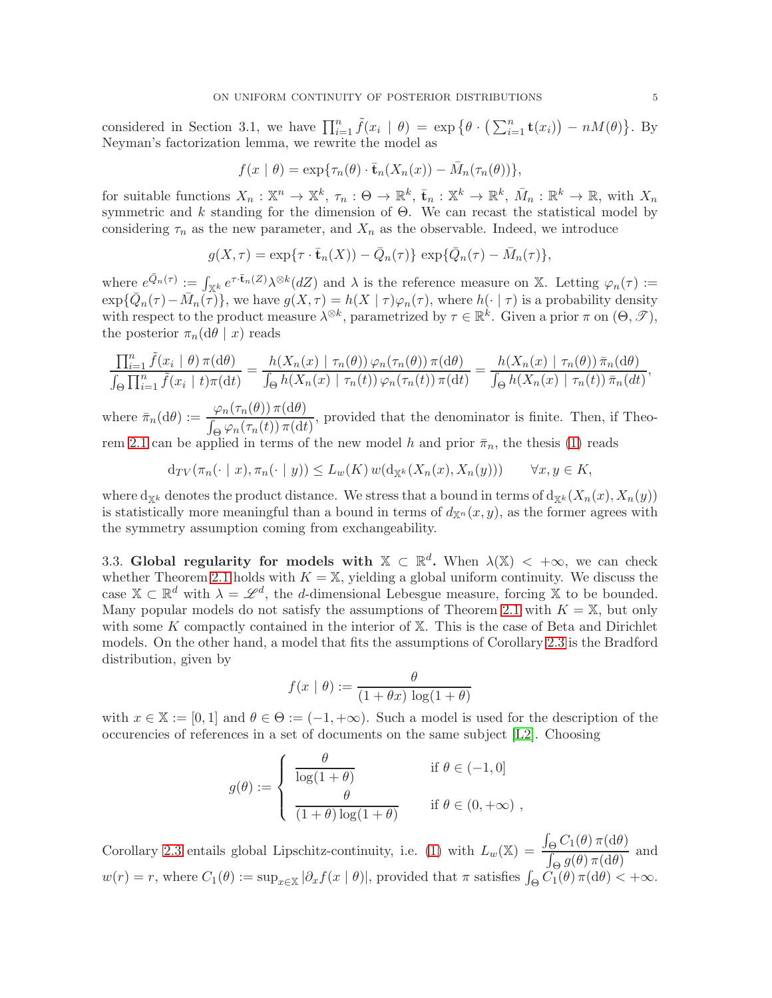considered in Section 3.1, we have  $\prod_{i=1}^n \tilde{f}(x_i | \theta) = \exp \{ \theta \cdot (\sum_{i=1}^n \mathbf{t}(x_i)) - nM(\theta) \}.$  By Neyman's factorization lemma, we rewrite the model as

$$
f(x | \theta) = \exp{\tau_n(\theta) \cdot \bar{\mathbf{t}}_n(X_n(x)) - \bar{M}_n(\tau_n(\theta))},
$$

for suitable functions  $X_n : \mathbb{X}^n \to \mathbb{X}^k$ ,  $\tau_n : \Theta \to \mathbb{R}^k$ ,  $\bar{\mathbf{t}}_n : \mathbb{X}^k \to \mathbb{R}^k$ ,  $\bar{M}_n : \mathbb{R}^k \to \mathbb{R}$ , with  $X_n$ symmetric and  $k$  standing for the dimension of  $\Theta$ . We can recast the statistical model by considering  $\tau_n$  as the new parameter, and  $X_n$  as the observable. Indeed, we introduce

$$
g(X,\tau) = \exp{\lbrace \tau \cdot \bar{\mathbf{t}}_n(X) \rbrace} - \bar{Q}_n(\tau) \} \exp{\lbrace \bar{Q}_n(\tau) - \bar{M}_n(\tau) \rbrace},
$$

where  $e^{\bar{Q}_n(\tau)} := \int_{\mathbb{X}^k} e^{\tau \cdot \bar{\mathbf{t}}_n(Z)} \lambda^{\otimes k}(dZ)$  and  $\lambda$  is the reference measure on X. Letting  $\varphi_n(\tau) :=$  $\exp{\{\overline{Q}_n(\tau) - \overline{M}_n(\tau)\}}$ , we have  $g(X, \tau) = h(X | \tau) \varphi_n(\tau)$ , where  $h(\cdot | \tau)$  is a probability density with respect to the product measure  $\lambda^{\otimes k}$ , parametrized by  $\tau \in \mathbb{R}^k$ . Given a prior  $\pi$  on  $(\Theta, \mathscr{T})$ , the posterior  $\pi_n(d\theta \mid x)$  reads

$$
\frac{\prod_{i=1}^{n} \tilde{f}(x_i \mid \theta) \pi(\mathrm{d}\theta)}{\int_{\Theta} \prod_{i=1}^{n} \tilde{f}(x_i \mid t) \pi(\mathrm{d}t)} = \frac{h(X_n(x) \mid \tau_n(\theta)) \varphi_n(\tau_n(\theta)) \pi(\mathrm{d}\theta)}{\int_{\Theta} h(X_n(x) \mid \tau_n(t)) \varphi_n(\tau_n(t)) \pi(\mathrm{d}t)} = \frac{h(X_n(x) \mid \tau_n(\theta)) \bar{\pi}_n(\mathrm{d}\theta)}{\int_{\Theta} h(X_n(x) \mid \tau_n(t)) \bar{\pi}_n(\mathrm{d}t)},
$$

where  $\bar{\pi}_n(\mathrm{d}\theta) := \frac{\varphi_n(\tau_n(\theta)) \pi(\mathrm{d}\theta)}{\int_{\Theta} \varphi_n(\tau_n(t)) \pi(\mathrm{d}t)}$ , provided that the denominator is finite. Then, if Theo-rem [2.1](#page-1-2) can be applied in terms of the new model h and prior  $\bar{\pi}_n$ , the thesis [\(1\)](#page-1-0) reads

$$
\mathrm{d}_{TV}(\pi_n(\cdot \mid x), \pi_n(\cdot \mid y)) \le L_w(K) w(\mathrm{d}_{\mathbb{X}^k}(X_n(x), X_n(y))) \qquad \forall x, y \in K,
$$

where  $d_{X^k}$  denotes the product distance. We stress that a bound in terms of  $d_{X^k}(X_n(x), X_n(y))$ is statistically more meaningful than a bound in terms of  $d_{\mathbb{X}^n}(x, y)$ , as the former agrees with the symmetry assumption coming from exchangeability.

3.3. Global regularity for models with  $\mathbb{X} \subset \mathbb{R}^d$ . When  $\lambda(\mathbb{X}) < +\infty$ , we can check whether Theorem [2.1](#page-1-2) holds with  $K = X$ , yielding a global uniform continuity. We discuss the case  $\mathbb{X} \subset \mathbb{R}^d$  with  $\lambda = \mathscr{L}^d$ , the d-dimensional Lebesgue measure, forcing  $\mathbb{X}$  to be bounded. Many popular models do not satisfy the assumptions of Theorem [2.1](#page-1-2) with  $K = X$ , but only with some K compactly contained in the interior of  $X$ . This is the case of Beta and Dirichlet models. On the other hand, a model that fits the assumptions of Corollary [2.3](#page-2-2) is the Bradford distribution, given by

$$
f(x \mid \theta) := \frac{\theta}{(1 + \theta x) \log(1 + \theta)}
$$

with  $x \in \mathbb{X} := [0,1]$  and  $\theta \in \Theta := (-1,+\infty)$ . Such a model is used for the description of the occurencies of references in a set of documents on the same subject [\[L2\]](#page-7-14). Choosing

$$
g(\theta) := \begin{cases} \frac{\theta}{\log(1+\theta)} & \text{if } \theta \in (-1,0] \\ \frac{\theta}{(1+\theta)\log(1+\theta)} & \text{if } \theta \in (0,+\infty) \end{cases}
$$

Corollary [2.3](#page-2-2) entails global Lipschitz-continuity, i.e. [\(1\)](#page-1-0) with  $L_w(\mathbb{X}) = \frac{\int_{\Theta} C_1(\theta) \pi(\mathrm{d}\theta)}{\int_{\Theta} c(\theta) \pi(\mathrm{d}\theta)}$  $\frac{\int_{\Theta} \mathcal{G}(\theta) \pi(\mathrm{d}\theta)}{\int_{\Theta} g(\theta) \pi(\mathrm{d}\theta)}$  and  $w(r) = r$ , where  $C_1(\theta) := \sup_{x \in \mathbb{X}} |\partial_x f(x | \theta)|$ , provided that  $\pi$  satisfies  $\int_{\Theta} C_1(\theta) \pi(\mathrm{d}\theta) < +\infty$ .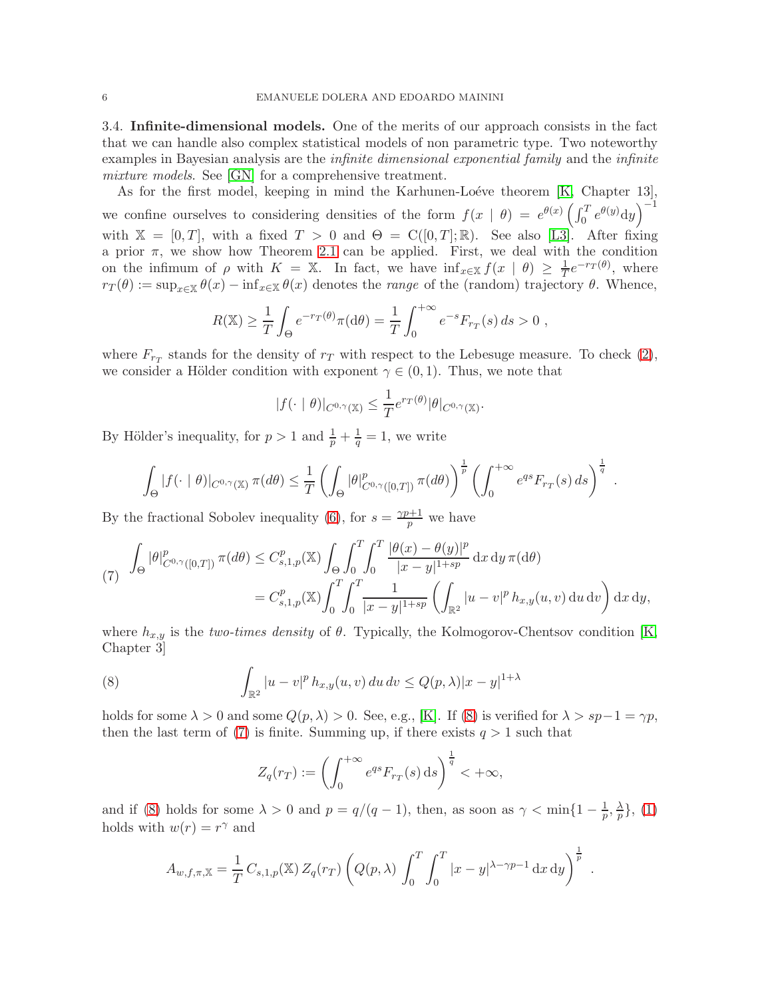3.4. Infinite-dimensional models. One of the merits of our approach consists in the fact that we can handle also complex statistical models of non parametric type. Two noteworthy examples in Bayesian analysis are the *infinite dimensional exponential family* and the *infinite* mixture models. See [\[GN\]](#page-7-15) for a comprehensive treatment.

As for the first model, keeping in mind the Karhunen-Loéve theorem  $[K,$  Chapter 13], we confine ourselves to considering densities of the form  $f(x | \theta) = e^{\theta(x)} \left( \int_0^T e^{\theta(y)} dy \right)^{-1}$ with  $\mathbb{X} = [0, T]$ , with a fixed  $T > 0$  and  $\Theta = C([0, T]; \mathbb{R})$ . See also [\[L3\]](#page-7-16). After fixing a prior  $\pi$ , we show how Theorem [2.1](#page-1-2) can be applied. First, we deal with the condition on the infimum of  $\rho$  with  $K = \mathbb{X}$ . In fact, we have  $\inf_{x \in \mathbb{X}} f(x | \theta) \geq \frac{1}{T} e^{-r} f(\theta)$ , where  $r_T(\theta) := \sup_{x \in \mathbb{X}} \theta(x) - \inf_{x \in \mathbb{X}} \theta(x)$  denotes the *range* of the (random) trajectory  $\theta$ . Whence,

$$
R(\mathbb{X}) \ge \frac{1}{T} \int_{\Theta} e^{-r_T(\theta)} \pi(d\theta) = \frac{1}{T} \int_0^{+\infty} e^{-s} F_{r_T}(s) \, ds > 0,
$$

where  $F_{r_T}$  stands for the density of  $r_T$  with respect to the Lebesuge measure. To check [\(2\)](#page-1-1), we consider a Hölder condition with exponent  $\gamma \in (0,1)$ . Thus, we note that

$$
|f(\cdot \mid \theta)|_{C^{0,\gamma}(\mathbb{X})} \leq \frac{1}{T} e^{r_T(\theta)} |\theta|_{C^{0,\gamma}(\mathbb{X})}.
$$

By Hölder's inequality, for  $p > 1$  and  $\frac{1}{p} + \frac{1}{q} = 1$ , we write

$$
\int_{\Theta} |f(\cdot \mid \theta)|_{C^{0,\gamma}(\mathbb{X})} \pi(d\theta) \leq \frac{1}{T} \left( \int_{\Theta} |\theta|_{C^{0,\gamma}([0,T])}^p \pi(d\theta) \right)^{\frac{1}{p}} \left( \int_0^{+\infty} e^{qs} F_{r_T}(s) \, ds \right)^{\frac{1}{q}}.
$$

By the fractional Sobolev inequality [\(6\)](#page-2-3), for  $s = \frac{\gamma p + 1}{n}$  $\frac{p+1}{p}$  we have

<span id="page-5-1"></span>
$$
\int_{\Theta} |\theta|_{C^{0,\gamma}([0,T])}^p \pi(d\theta) \leq C_{s,1,p}^p(\mathbb{X}) \int_{\Theta} \int_0^T \int_0^T \frac{|\theta(x) - \theta(y)|^p}{|x - y|^{1 + sp}} dx dy \pi(d\theta)
$$
  
=  $C_{s,1,p}^p(\mathbb{X}) \int_0^T \int_0^T \frac{1}{|x - y|^{1 + sp}} \left( \int_{\mathbb{R}^2} |u - v|^p h_{x,y}(u, v) du dv \right) dx dy,$ 

where  $h_{x,y}$  is the two-times density of  $\theta$ . Typically, the Kolmogorov-Chentsov condition [\[K,](#page-7-8) Chapter 3]

(8) 
$$
\int_{\mathbb{R}^2} |u - v|^p h_{x,y}(u, v) du dv \le Q(p, \lambda) |x - y|^{1 + \lambda}
$$

holds for some  $\lambda > 0$  and some  $Q(p, \lambda) > 0$ . See, e.g., [\[K\]](#page-7-8). If [\(8\)](#page-5-0) is verified for  $\lambda > sp-1 = \gamma p$ , then the last term of [\(7\)](#page-5-1) is finite. Summing up, if there exists  $q > 1$  such that

<span id="page-5-0"></span>
$$
Z_q(r_T) := \left(\int_0^{+\infty} e^{qs} F_{r_T}(s) \,ds\right)^{\frac{1}{q}} < +\infty,
$$

and if [\(8\)](#page-5-0) holds for some  $\lambda > 0$  and  $p = q/(q-1)$ , then, as soon as  $\gamma < \min\{1 - \frac{1}{p}, \frac{\lambda}{p}\}$  $\frac{\lambda}{p}\},(1)$ holds with  $w(r) = r^{\gamma}$  and

$$
A_{w,f,\pi,\mathbb{X}} = \frac{1}{T} C_{s,1,p}(\mathbb{X}) Z_q(r_T) \left( Q(p,\lambda) \int_0^T \int_0^T |x-y|^{\lambda-\gamma p-1} dx dy \right)^{\frac{1}{p}}
$$

.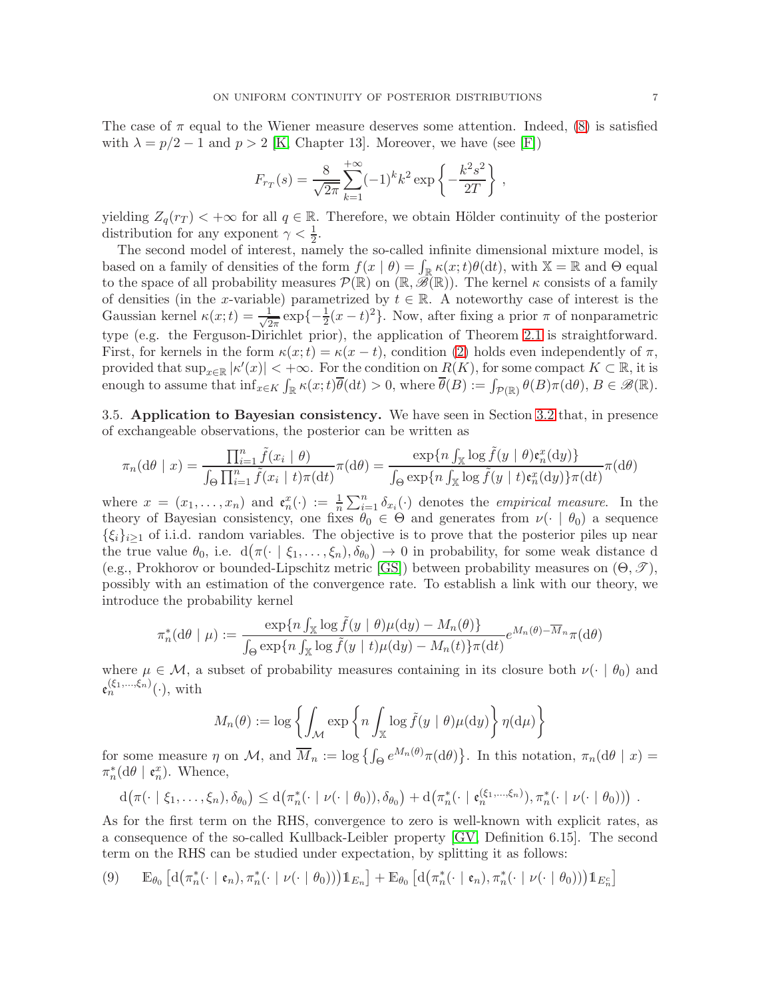The case of  $\pi$  equal to the Wiener measure deserves some attention. Indeed, [\(8\)](#page-5-0) is satisfied with  $\lambda = p/2 - 1$  and  $p > 2$  [\[K,](#page-7-8) Chapter 13]. Moreover, we have (see [\[F\]](#page-7-17))

$$
F_{r_T}(s) = \frac{8}{\sqrt{2\pi}} \sum_{k=1}^{+\infty} (-1)^k k^2 \exp\left\{-\frac{k^2 s^2}{2T}\right\},\,
$$

yielding  $Z_q(r_T) < +\infty$  for all  $q \in \mathbb{R}$ . Therefore, we obtain Hölder continuity of the posterior distribution for any exponent  $\gamma < \frac{1}{2}$ .

The second model of interest, namely the so-called infinite dimensional mixture model, is based on a family of densities of the form  $f(x | \theta) = \int_{\mathbb{R}} \kappa(x; t) \theta(dt)$ , with  $\mathbb{X} = \mathbb{R}$  and  $\Theta$  equal to the space of all probability measures  $\mathcal{P}(\mathbb{R})$  on  $(\mathbb{R}, \mathscr{B}(\mathbb{R}))$ . The kernel  $\kappa$  consists of a family of densities (in the x-variable) parametrized by  $t \in \mathbb{R}$ . A noteworthy case of interest is the Gaussian kernel  $\kappa(x;t) = \frac{1}{\sqrt{2}}$  $\frac{1}{2\pi} \exp\{-\frac{1}{2}(x-t)^2\}$ . Now, after fixing a prior  $\pi$  of nonparametric type (e.g. the Ferguson-Dirichlet prior), the application of Theorem [2.1](#page-1-2) is straightforward. First, for kernels in the form  $\kappa(x;t) = \kappa(x-t)$ , condition [\(2\)](#page-1-1) holds even independently of  $\pi$ , provided that  $\sup_{x\in\mathbb{R}} |\kappa'(x)| < +\infty$ . For the condition on  $R(K)$ , for some compact  $K \subset \mathbb{R}$ , it is enough to assume that  $\inf_{x \in K} \int_{\mathbb{R}} \kappa(x;t) \overline{\theta}(\mathrm{d}t) > 0$ , where  $\overline{\theta}(B) := \int_{\mathcal{P}(\mathbb{R})} \theta(B) \pi(\mathrm{d}\theta)$ ,  $B \in \mathscr{B}(\mathbb{R})$ .

<span id="page-6-0"></span>3.5. Application to Bayesian consistency. We have seen in Section [3.2](#page-3-0) that, in presence of exchangeable observations, the posterior can be written as

$$
\pi_n(\mathrm{d}\theta \mid x) = \frac{\prod_{i=1}^n \tilde{f}(x_i \mid \theta)}{\int_{\Theta} \prod_{i=1}^n \tilde{f}(x_i \mid t) \pi(\mathrm{d}t)} \pi(\mathrm{d}\theta) = \frac{\exp\{n \int_{\mathbb{X}} \log \tilde{f}(y \mid \theta) \mathfrak{e}_n^x(\mathrm{d}y)\}}{\int_{\Theta} \exp\{n \int_{\mathbb{X}} \log \tilde{f}(y \mid t) \mathfrak{e}_n^x(\mathrm{d}y)\} \pi(\mathrm{d}t)} \pi(\mathrm{d}\theta)
$$

where  $x = (x_1, \ldots, x_n)$  and  $\mathfrak{e}_n^x(\cdot) := \frac{1}{n} \sum_{i=1}^n \delta_{x_i}(\cdot)$  denotes the *empirical measure*. In the theory of Bayesian consistency, one fixes  $\hat{\theta}_0 \in \Theta$  and generates from  $\nu(\cdot | \theta_0)$  a sequence  $\{\xi_i\}_{i\geq 1}$  of i.i.d. random variables. The objective is to prove that the posterior piles up near the true value  $\theta_0$ , i.e.  $d(\pi(\cdot \mid \xi_1, \ldots, \xi_n), \delta_{\theta_0}) \to 0$  in probability, for some weak distance d (e.g., Prokhorov or bounded-Lipschitz metric [\[GS\]](#page-7-10)) between probability measures on  $(\Theta, \mathcal{T})$ , possibly with an estimation of the convergence rate. To establish a link with our theory, we introduce the probability kernel

$$
\pi_n^*(\mathrm{d}\theta \mid \mu) := \frac{\exp\{n \int_{\mathbb{X}} \log \tilde{f}(y \mid \theta) \mu(\mathrm{d}y) - M_n(\theta)\}}{\int_{\Theta} \exp\{n \int_{\mathbb{X}} \log \tilde{f}(y \mid t) \mu(\mathrm{d}y) - M_n(t)\} \pi(\mathrm{d}t)} e^{M_n(\theta) - \overline{M}_n} \pi(\mathrm{d}\theta)
$$

where  $\mu \in \mathcal{M}$ , a subset of probability measures containing in its closure both  $\nu(\cdot | \theta_0)$  and  $\mathfrak{e}_n^{(\xi_1,\ldots,\xi_n)}(\cdot)$ , with

$$
M_n(\theta) := \log \left\{ \int_{\mathcal{M}} \exp \left\{ n \int_{\mathbb{X}} \log \tilde{f}(y \mid \theta) \mu(dy) \right\} \eta(d\mu) \right\}
$$

for some measure  $\eta$  on M, and  $\overline{M}_n := \log \left\{ \int_{\Theta} e^{M_n(\theta)} \pi(d\theta) \right\}$ . In this notation,  $\pi_n(d\theta | x) =$  $\pi_n^*(\mathrm{d}\theta \mid \mathfrak{e}_n^x)$ . Whence,

$$
d\big(\pi(\cdot \mid \xi_1,\ldots,\xi_n),\delta_{\theta_0}\big) \leq d\big(\pi_n^*(\cdot \mid \nu(\cdot \mid \theta_0)),\delta_{\theta_0}\big) + d\big(\pi_n^*(\cdot \mid \mathfrak{e}_n^{(\xi_1,\ldots,\xi_n)}),\pi_n^*(\cdot \mid \nu(\cdot \mid \theta_0))\big) .
$$

As for the first term on the RHS, convergence to zero is well-known with explicit rates, as a consequence of the so-called Kullback-Leibler property [\[GV,](#page-7-1) Definition 6.15]. The second term on the RHS can be studied under expectation, by splitting it as follows:

<span id="page-6-1"></span>
$$
(9) \qquad \mathbb{E}_{\theta_0}\left[\mathbf{d}\big(\pi_n^*(\cdot \mid \mathfrak{e}_n), \pi_n^*(\cdot \mid \nu(\cdot \mid \theta_0))\big)\mathbf{1}_{E_n}\right] + \mathbb{E}_{\theta_0}\left[\mathbf{d}\big(\pi_n^*(\cdot \mid \mathfrak{e}_n), \pi_n^*(\cdot \mid \nu(\cdot \mid \theta_0))\big)\mathbf{1}_{E_n^c}\right]
$$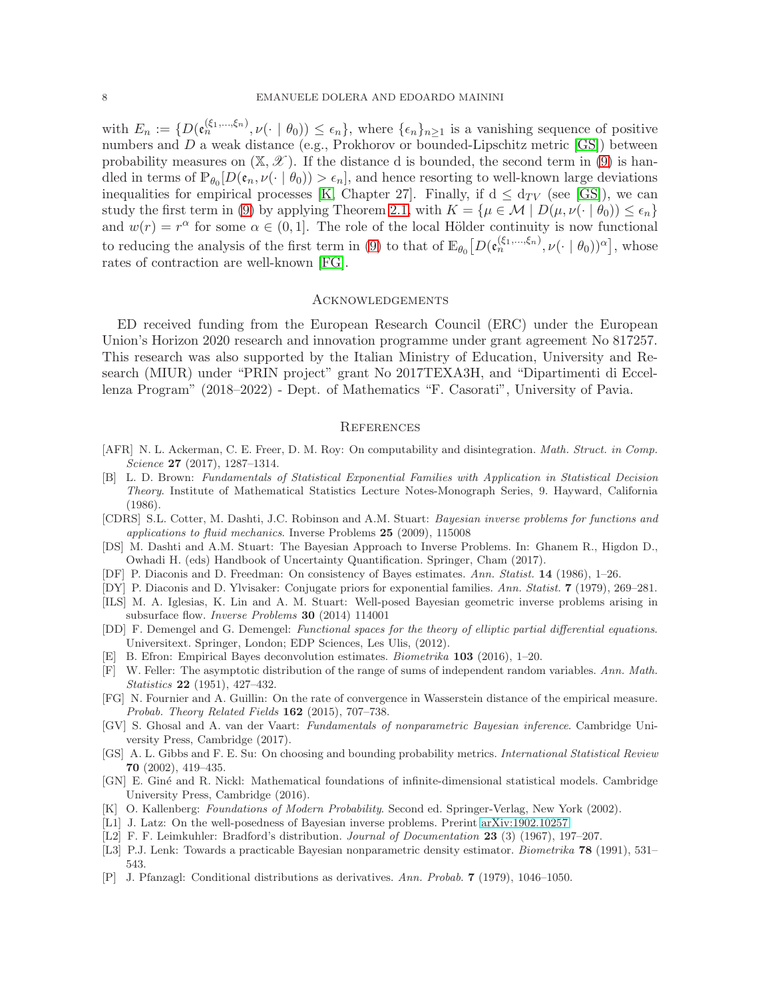with  $E_n := \{D(\mathfrak{e}_n^{(\xi_1,\ldots,\xi_n)},\nu(\cdot \mid \theta_0)) \leq \epsilon_n\}$ , where  $\{\epsilon_n\}_{n\geq 1}$  is a vanishing sequence of positive numbers and D a weak distance (e.g., Prokhorov or bounded-Lipschitz metric [\[GS\]](#page-7-10)) between probability measures on  $(\mathbb{X}, \mathscr{X})$ . If the distance d is bounded, the second term in [\(9\)](#page-6-1) is handled in terms of  $\mathbb{P}_{\theta_0}[D(\mathfrak{e}_n,\nu(\cdot \mid \theta_0)) > \epsilon_n]$ , and hence resorting to well-known large deviations inequalities for empirical processes [\[K,](#page-7-8) Chapter 27]. Finally, if  $d \leq d_{TV}$  (see [\[GS\]](#page-7-10)), we can study the first term in [\(9\)](#page-6-1) by applying Theorem [2.1,](#page-1-2) with  $K = {\mu \in \mathcal{M} \mid D(\mu, \nu(\cdot \mid \theta_0)) \leq \epsilon_n}$ and  $w(r) = r^{\alpha}$  for some  $\alpha \in (0, 1]$ . The role of the local Hölder continuity is now functional to reducing the analysis of the first term in [\(9\)](#page-6-1) to that of  $\mathbb{E}_{\theta_0}\big[D(\mathfrak{e}_n^{(\xi_1,\ldots,\xi_n)},\nu(\cdot \mid \theta_0))^{\alpha}\big],$  whose rates of contraction are well-known [\[FG\]](#page-7-18).

#### **ACKNOWLEDGEMENTS**

ED received funding from the European Research Council (ERC) under the European Union's Horizon 2020 research and innovation programme under grant agreement No 817257. This research was also supported by the Italian Ministry of Education, University and Research (MIUR) under "PRIN project" grant No 2017TEXA3H, and "Dipartimenti di Eccellenza Program" (2018–2022) - Dept. of Mathematics "F. Casorati", University of Pavia.

#### **REFERENCES**

- <span id="page-7-3"></span>[AFR] N. L. Ackerman, C. E. Freer, D. M. Roy: On computability and disintegration. *Math. Struct. in Comp.* Science 27 (2017), 1287–1314.
- <span id="page-7-12"></span>[B] L. D. Brown: Fundamentals of Statistical Exponential Families with Application in Statistical Decision Theory. Institute of Mathematical Statistics Lecture Notes-Monograph Series, 9. Hayward, California (1986).
- <span id="page-7-5"></span>[CDRS] S.L. Cotter, M. Dashti, J.C. Robinson and A.M. Stuart: Bayesian inverse problems for functions and applications to fluid mechanics. Inverse Problems 25 (2009), 115008
- <span id="page-7-4"></span>[DS] M. Dashti and A.M. Stuart: The Bayesian Approach to Inverse Problems. In: Ghanem R., Higdon D., Owhadi H. (eds) Handbook of Uncertainty Quantification. Springer, Cham (2017).
- <span id="page-7-0"></span>[DF] P. Diaconis and D. Freedman: On consistency of Bayes estimates. Ann. Statist. 14 (1986), 1–26.
- <span id="page-7-13"></span>[DY] P. Diaconis and D. Ylvisaker: Conjugate priors for exponential families. Ann. Statist. 7 (1979), 269–281.
- <span id="page-7-6"></span>[ILS] M. A. Iglesias, K. Lin and A. M. Stuart: Well-posed Bayesian geometric inverse problems arising in subsurface flow. Inverse Problems 30 (2014) 114001
- <span id="page-7-11"></span>[DD] F. Demengel and G. Demengel: Functional spaces for the theory of elliptic partial differential equations. Universitext. Springer, London; EDP Sciences, Les Ulis, (2012).
- <span id="page-7-2"></span>[E] B. Efron: Empirical Bayes deconvolution estimates. Biometrika 103 (2016), 1–20.
- <span id="page-7-17"></span>[F] W. Feller: The asymptotic distribution of the range of sums of independent random variables. Ann. Math. Statistics 22 (1951), 427–432.
- <span id="page-7-18"></span>[FG] N. Fournier and A. Guillin: On the rate of convergence in Wasserstein distance of the empirical measure. Probab. Theory Related Fields 162 (2015), 707–738.
- <span id="page-7-1"></span>[GV] S. Ghosal and A. van der Vaart: Fundamentals of nonparametric Bayesian inference. Cambridge University Press, Cambridge (2017).
- <span id="page-7-10"></span>[GS] A. L. Gibbs and F. E. Su: On choosing and bounding probability metrics. International Statistical Review 70 (2002), 419–435.
- <span id="page-7-15"></span>[GN] E. Gin´e and R. Nickl: Mathematical foundations of infinite-dimensional statistical models. Cambridge University Press, Cambridge (2016).
- <span id="page-7-8"></span>[K] O. Kallenberg: Foundations of Modern Probability. Second ed. Springer-Verlag, New York (2002).
- <span id="page-7-7"></span>[L1] J. Latz: On the well-posedness of Bayesian inverse problems. Prerint [arXiv:1902.10257](http://arxiv.org/abs/1902.10257)
- <span id="page-7-14"></span>[L2] F. F. Leimkuhler: Bradford's distribution. Journal of Documentation 23 (3) (1967), 197-207.
- <span id="page-7-16"></span>[L3] P.J. Lenk: Towards a practicable Bayesian nonparametric density estimator. *Biometrika* **78** (1991), 531– 543.
- <span id="page-7-9"></span>[P] J. Pfanzagl: Conditional distributions as derivatives. Ann. Probab. 7 (1979), 1046–1050.